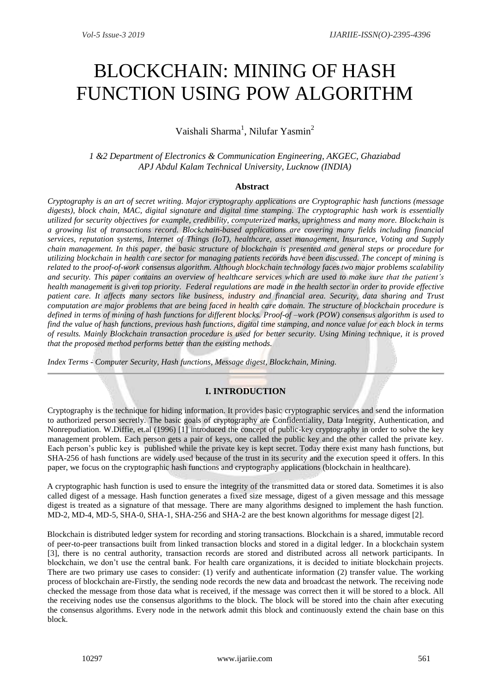# BLOCKCHAIN: MINING OF HASH FUNCTION USING POW ALGORITHM

# Vaishali Sharma<sup>1</sup>, Nilufar Yasmin<sup>2</sup>

*1 &2 Department of Electronics & Communication Engineering, AKGEC, Ghaziabad APJ Abdul Kalam Technical University, Lucknow (INDIA)*

# **Abstract**

*Cryptography is an art of secret writing. Major cryptography applications are Cryptographic hash functions (message digests), block chain, MAC, digital signature and digital time stamping. The cryptographic hash work is essentially utilized for security objectives for example, credibility, computerized marks, uprightness and many more. Blockchain is a growing list of transactions record. Blockchain-based applications are covering many fields including financial services, reputation systems, Internet of Things (IoT), healthcare, asset management, Insurance, Voting and Supply chain management. In this paper, the basic structure of blockchain is presented and general steps or procedure for utilizing blockchain in health care sector for managing patients records have been discussed. The concept of mining is related to the proof-of-work consensus algorithm. Although blockchain technology faces two major problems scalability and security. This paper contains an overview of healthcare services which are used to make sure that the patient's health management is given top priority. Federal regulations are made in the health sector in order to provide effective patient care. It affects many sectors like business, industry and financial area. Security, data sharing and Trust computation are major problems that are being faced in health care domain. The structure of blockchain procedure is defined in terms of mining of hash functions for different blocks. Proof-of –work (POW) consensus algorithm is used to find the value of hash functions, previous hash functions, digital time stamping, and nonce value for each block in terms of results. Mainly Blockchain transaction procedure is used for better security. Using Mining technique, it is proved that the proposed method performs better than the existing methods.* 

*Index Terms* - *Computer Security, Hash functions, Message digest, Blockchain, Mining.* 

# **I. INTRODUCTION**

Cryptography is the technique for hiding information. It provides basic cryptographic services and send the information to authorized person secretly. The basic goals of cryptography are Confidentiality, Data Integrity, Authentication, and Nonrepudiation. W.Diffie, et.al (1996) [1] introduced the concept of public-key cryptography in order to solve the key management problem. Each person gets a pair of keys, one called the public key and the other called the private key. Each person's public key is published while the private key is kept secret. Today there exist many hash functions, but SHA-256 of hash functions are widely used because of the trust in its security and the execution speed it offers. In this paper, we focus on the cryptographic hash functions and cryptography applications (blockchain in healthcare).

A cryptographic hash function is used to ensure the integrity of the transmitted data or stored data. Sometimes it is also called digest of a message. Hash function generates a fixed size message, digest of a given message and this message digest is treated as a signature of that message. There are many algorithms designed to implement the hash function. MD-2, MD-4, MD-5, SHA-0, SHA-1, SHA-256 and SHA-2 are the best known algorithms for message digest [2].

Blockchain is distributed ledger system for recording and storing transactions. Blockchain is a shared, immutable record of peer-to-peer transactions built from linked transaction blocks and stored in a digital ledger. In a blockchain system [3], there is no central authority, transaction records are stored and distributed across all network participants. In blockchain, we don't use the central bank. For health care organizations, it is decided to initiate blockchain projects. There are two primary use cases to consider: (1) verify and authenticate information (2) transfer value. The working process of blockchain are-Firstly, the sending node records the new data and broadcast the network. The receiving node checked the message from those data what is received, if the message was correct then it will be stored to a block. All the receiving nodes use the consensus algorithms to the block. The block will be stored into the chain after executing the consensus algorithms. Every node in the network admit this block and continuously extend the chain base on this block.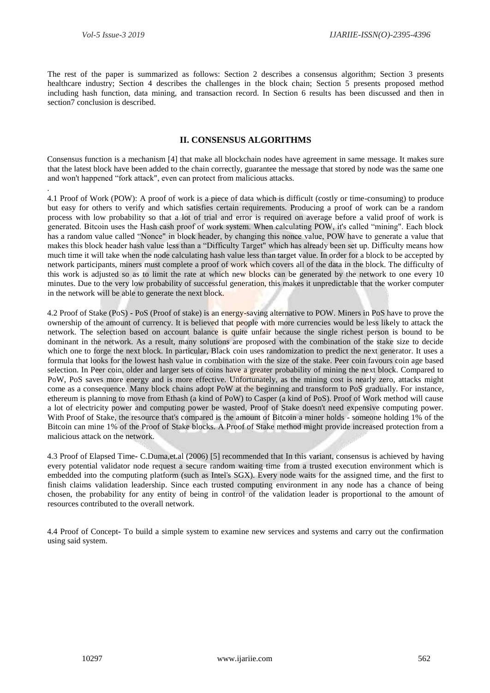.

The rest of the paper is summarized as follows: Section 2 describes a consensus algorithm; Section 3 presents healthcare industry; Section 4 describes the challenges in the block chain; Section 5 presents proposed method including hash function, data mining, and transaction record. In Section 6 results has been discussed and then in section7 conclusion is described.

# **II. CONSENSUS ALGORITHMS**

Consensus function is a mechanism [4] that make all blockchain nodes have agreement in same message. It makes sure that the latest block have been added to the chain correctly, guarantee the message that stored by node was the same one and won't happened "fork attack", even can protect from malicious attacks.

4.1 Proof of Work (POW): A proof of work is a piece of data which is difficult (costly or time-consuming) to produce but easy for others to verify and which satisfies certain requirements. Producing a proof of work can be a random process with low probability so that a lot of trial and error is required on average before a valid proof of work is generated. Bitcoin uses the Hash cash proof of work system. When calculating POW, it's called "mining". Each block has a random value called "Nonce" in block header, by changing this nonce value, POW have to generate a value that makes this block header hash value less than a "Difficulty Target" which has already been set up. Difficulty means how much time it will take when the node calculating hash value less than target value. In order for a block to be accepted by network participants, miners must complete a proof of work which covers all of the data in the block. The difficulty of this work is adjusted so as to limit the rate at which new blocks can be generated by the network to one every 10 minutes. Due to the very low probability of successful generation, this makes it unpredictable that the worker computer in the network will be able to generate the next block.

4.2 Proof of Stake (PoS) **-** PoS (Proof of stake) is an energy-saving alternative to POW. Miners in PoS have to prove the ownership of the amount of currency. It is believed that people with more currencies would be less likely to attack the network. The selection based on account balance is quite unfair because the single richest person is bound to be dominant in the network. As a result, many solutions are proposed with the combination of the stake size to decide which one to forge the next block. In particular, Black coin uses randomization to predict the next generator. It uses a formula that looks for the lowest hash value in combination with the size of the stake. Peer coin favours coin age based selection. In Peer coin, older and larger sets of coins have a greater probability of mining the next block. Compared to PoW, PoS saves more energy and is more effective. Unfortunately, as the mining cost is nearly zero, attacks might come as a consequence. Many block chains adopt PoW at the beginning and transform to PoS gradually. For instance, ethereum is planning to move from Ethash (a kind of PoW) to Casper (a kind of PoS). Proof of Work method will cause a lot of electricity power and computing power be wasted, Proof of Stake doesn't need expensive computing power. With Proof of Stake, the resource that's compared is the amount of Bitcoin a miner holds - someone holding 1% of the Bitcoin can mine 1% of the Proof of Stake blocks. A Proof of Stake method might provide increased protection from a malicious attack on the network.

4.3 Proof of Elapsed Time**-** C.Duma,et.al (2006) [5] recommended that In this variant, consensus is achieved by having every potential validator node request a secure random waiting time from a trusted execution environment which is embedded into the computing platform (such as Intel's SGX). Every node waits for the assigned time, and the first to finish claims validation leadership. Since each trusted computing environment in any node has a chance of being chosen, the probability for any entity of being in control of the validation leader is proportional to the amount of resources contributed to the overall network.

4.4 Proof of Concept**-** To build a simple system to examine new services and systems and carry out the confirmation using said system.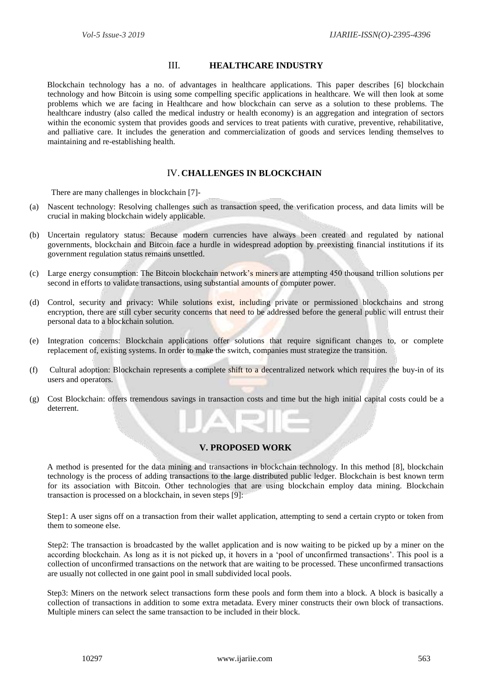# III. **HEALTHCARE INDUSTRY**

Blockchain technology has a no. of advantages in healthcare applications. This paper describes [6] blockchain technology and how Bitcoin is using some compelling specific applications in healthcare. We will then look at some problems which we are facing in Healthcare and how blockchain can serve as a solution to these problems. The healthcare industry (also called the medical industry or health economy) is an aggregation and integration of sectors within the economic system that provides goods and services to treat patients with curative, preventive, rehabilitative, and palliative care. It includes the generation and commercialization of goods and services lending themselves to maintaining and re-establishing health.

# IV. **CHALLENGES IN BLOCKCHAIN**

There are many challenges in blockchain [7]-

- (a) Nascent technology: Resolving challenges such as transaction speed, the verification process, and data limits will be crucial in making blockchain widely applicable.
- (b) Uncertain regulatory status: Because modern currencies have always been created and regulated by national governments, blockchain and Bitcoin face a hurdle in widespread adoption by preexisting financial institutions if its government regulation status remains unsettled.
- (c) Large energy consumption: The Bitcoin blockchain network's miners are attempting 450 thousand trillion solutions per second in efforts to validate transactions, using substantial amounts of computer power.
- (d) Control, security and privacy: While solutions exist, including private or permissioned blockchains and strong encryption, there are still cyber security concerns that need to be addressed before the general public will entrust their personal data to a blockchain solution.
- (e) Integration concerns: Blockchain applications offer solutions that require significant changes to, or complete replacement of, existing systems. In order to make the switch, companies must strategize the transition.
- (f) Cultural adoption: Blockchain represents a complete shift to a decentralized network which requires the buy-in of its users and operators.
- (g) Cost Blockchain: offers tremendous savings in transaction costs and time but the high initial capital costs could be a deterrent.

# **V. PROPOSED WORK**

A method is presented for the data mining and transactions in blockchain technology. In this method [8], blockchain technology is the process of adding transactions to the large distributed public ledger. Blockchain is best known term for its association with Bitcoin. Other technologies that are using blockchain employ data mining. Blockchain transaction is processed on a blockchain, in seven steps [9]:

Step1: A user signs off on a transaction from their wallet application, attempting to send a certain crypto or token from them to someone else.

Step2: The transaction is broadcasted by the wallet application and is now waiting to be picked up by a miner on the according blockchain. As long as it is not picked up, it hovers in a 'pool of unconfirmed transactions'. This pool is a collection of unconfirmed transactions on the network that are waiting to be processed. These unconfirmed transactions are usually not collected in one gaint pool in small subdivided local pools.

Step3: Miners on the network select transactions form these pools and form them into a block. A block is basically a collection of transactions in addition to some extra metadata. Every miner constructs their own block of transactions. Multiple miners can select the same transaction to be included in their block.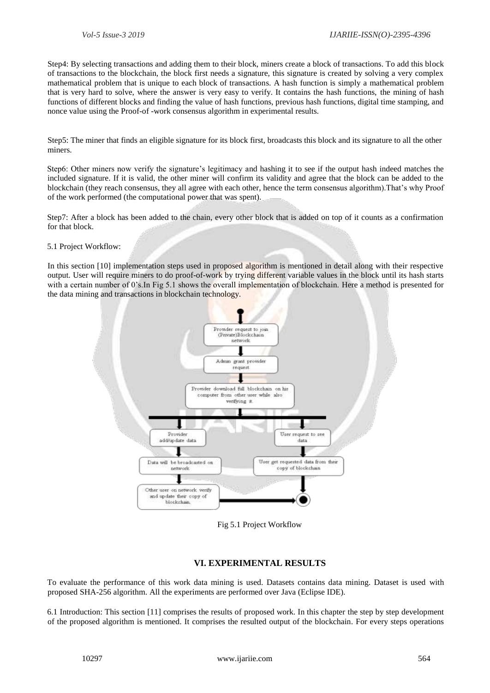Step4: By selecting transactions and adding them to their block, miners create a block of transactions. To add this block of transactions to the blockchain, the block first needs a signature, this signature is created by solving a very complex mathematical problem that is unique to each block of transactions. A hash function is simply a mathematical problem that is very hard to solve, where the answer is very easy to verify. It contains the hash functions, the mining of hash functions of different blocks and finding the value of hash functions, previous hash functions, digital time stamping, and nonce value using the Proof-of -work consensus algorithm in experimental results.

Step5: The miner that finds an eligible signature for its block first, broadcasts this block and its signature to all the other miners.

Step6: Other miners now verify the signature's legitimacy and hashing it to see if the output hash indeed matches the included signature. If it is valid, the other miner will confirm its validity and agree that the block can be added to the blockchain (they reach consensus, they all agree with each other, hence the term consensus algorithm).That's why Proof of the work performed (the computational power that was spent).

Step7: After a block has been added to the chain, every other block that is added on top of it counts as a confirmation for that block.

#### 5.1 Project Workflow:

In this section [10] implementation steps used in proposed algorithm is mentioned in detail along with their respective output. User will require miners to do proof-of-work by trying different variable values in the block until its hash starts with a certain number of 0's.In Fig 5.1 shows the overall implementation of blockchain. Here a method is presented for the data mining and transactions in blockchain technology.



Fig 5.1 Project Workflow

# **VI. EXPERIMENTAL RESULTS**

To evaluate the performance of this work data mining is used. Datasets contains data mining. Dataset is used with proposed SHA-256 algorithm. All the experiments are performed over Java (Eclipse IDE).

6.1 Introduction: This section [11] comprises the results of proposed work. In this chapter the step by step development of the proposed algorithm is mentioned. It comprises the resulted output of the blockchain. For every steps operations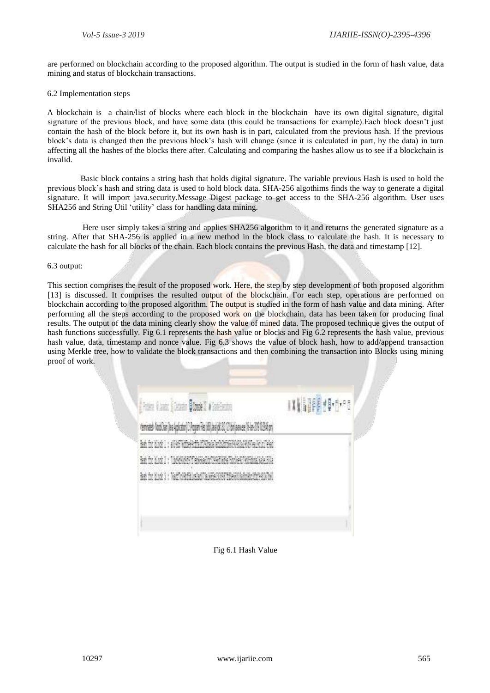are performed on blockchain according to the proposed algorithm. The output is studied in the form of hash value, data mining and status of blockchain transactions.

#### 6.2 Implementation steps

A blockchain is a chain/list of blocks where each block in the blockchain have its own digital signature, digital signature of the previous block, and have some data (this could be transactions for example).Each block doesn't just contain the hash of the block before it, but its own hash is in part, calculated from the previous hash. If the previous block's data is changed then the previous block's hash will change (since it is calculated in part, by the data) in turn affecting all the hashes of the blocks there after. Calculating and comparing the hashes allow us to see if a blockchain is invalid.

 Basic block contains a string hash that holds digital signature. The variable previous Hash is used to hold the previous block's hash and string data is used to hold block data. SHA-256 algothims finds the way to generate a digital signature. It will import java.security.Message Digest package to get access to the SHA-256 algorithm. User uses SHA256 and String Util 'utility' class for handling data mining.

 Here user simply takes a string and applies SHA256 algorithm to it and returns the generated signature as a string. After that SHA-256 is applied in a new method in the block class to calculate the hash. It is necessary to calculate the hash for all blocks of the chain. Each block contains the previous Hash, the data and timestamp [12].

#### 6.3 output:

This section comprises the result of the proposed work. Here, the step by step development of both proposed algorithm [13] is discussed. It comprises the resulted output of the blockchain. For each step, operations are performed on blockchain according to the proposed algorithm. The output is studied in the form of hash value and data mining. After performing all the steps according to the proposed work on the blockchain, data has been taken for producing final results. The output of the data mining clearly show the value of mined data. The proposed technique gives the output of hash functions successfully. Fig 6.1 represents the hash value or blocks and Fig 6.2 represents the hash value, previous hash value, data, timestamp and nonce value. Fig 6.3 shows the value of block hash, how to add/append transaction using Merkle tree, how to validate the block transactions and then combining the transaction into Blocks using mining proof of work.

| <b>Frank Blauer Globale Blauer II West-Section</b>                                            | 叫評的性 |
|-----------------------------------------------------------------------------------------------|------|
| cerinate NatiOse (as Aplicate) [C Proper Fits (di) Javayi 20 [C bet passes (15 An 20 1224 pr) |      |
| Bash for block ( ; s09657605eRcffaldTAThaGaTeCh2ff66799227909Teal9clz17eVa                    |      |
| Ren for blook 2 : Thompson Pitchessacher Peertiets Thomes The Ebody Rate                      |      |
| Rad for block 3 : Nachole Falco ballis less constitue administrative and was be               |      |
|                                                                                               |      |
|                                                                                               |      |

Fig 6.1 Hash Value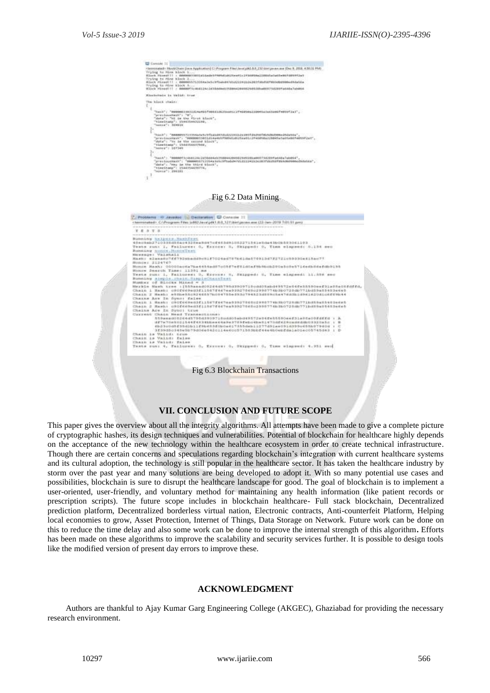

# **VII. CONCLUSION AND FUTURE SCOPE**

This paper gives the overview about all the integrity algorithms. All attempts have been made to give a complete picture of cryptographic hashes, its design techniques and vulnerabilities. Potential of blockchain for healthcare highly depends on the acceptance of the new technology within the healthcare ecosystem in order to create technical infrastructure. Though there are certain concerns and speculations regarding blockchain's integration with current healthcare systems and its cultural adoption, the technology is still popular in the healthcare sector. It has taken the healthcare industry by storm over the past year and many solutions are being developed to adopt it. With so many potential use cases and possibilities, blockchain is sure to disrupt the healthcare landscape for good. The goal of blockchain is to implement a user-oriented, user-friendly, and voluntary method for maintaining any health information (like patient records or prescription scripts). The future scope includes in blockchain healthcare- Full stack blockchain, Decentralized prediction platform, Decentralized borderless virtual nation, Electronic contracts, Anti-counterfeit Platform, Helping local economies to grow, Asset Protection, Internet of Things, Data Storage on Network. Future work can be done on this to reduce the time delay and also some work can be done to improve the internal strength of this algorithm**.** Efforts has been made on these algorithms to improve the scalability and security services further. It is possible to design tools like the modified version of present day errors to improve these.

# **ACKNOWLEDGMENT**

Authors are thankful to Ajay Kumar Garg Engineering College (AKGEC), Ghaziabad for providing the necessary research environment.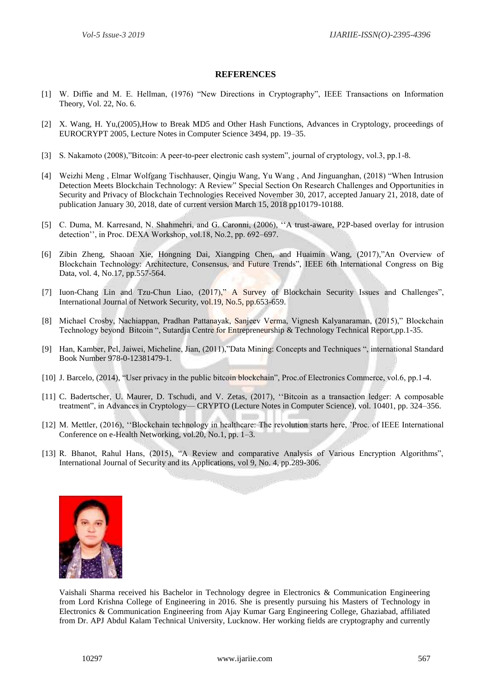# **REFERENCES**

- [1] W. Diffie and M. E. Hellman, (1976) "New Directions in Cryptography", IEEE Transactions on Information Theory, Vol. 22, No. 6*.*
- [2] X. Wang, H. Yu,(2005),How to Break MD5 and Other Hash Functions, Advances in Cryptology, proceedings of EUROCRYPT 2005, Lecture Notes in Computer Science 3494, pp. 19–35.
- [3] S. Nakamoto (2008),"Bitcoin: A peer-to-peer electronic cash system", journal of cryptology, vol.3, pp.1-8.
- [4] Weizhi Meng , Elmar Wolfgang Tischhauser, Qingju Wang, Yu Wang , And Jinguanghan, (2018) "When Intrusion Detection Meets Blockchain Technology: A Review" Special Section On Research Challenges and Opportunities in Security and Privacy of Blockchain Technologies Received November 30, 2017, accepted January 21, 2018, date of publication January 30, 2018, date of current version March 15, 2018 pp10179-10188.
- [5] C. Duma, M. Karresand, N. Shahmehri, and G. Caronni, (2006), ''A trust-aware, P2P-based overlay for intrusion detection'', in Proc. DEXA Workshop, vol.18, No.2, pp. 692–697.
- [6] Zibin Zheng, Shaoan Xie, Hongning Dai, Xiangping Chen, and Huaimin Wang, (2017),"An Overview of Blockchain Technology: Architecture, Consensus, and Future Trends", IEEE 6th International Congress on Big Data, vol. 4, No.17, pp.557-564.
- [7] Iuon-Chang Lin and Tzu-Chun Liao, (2017)," A Survey of Blockchain Security Issues and Challenges", International Journal of Network Security, vol.19, No.5, pp.653-659.
- [8] Michael Crosby, Nachiappan, Pradhan Pattanayak, Sanjeev Verma, Vignesh Kalyanaraman, (2015)," Blockchain Technology beyond Bitcoin ", Sutardja Centre for Entrepreneurship & Technology Technical Report,pp.1-35.
- [9] Han, Kamber, Pel, Jaiwei, Micheline, Jian, (2011),"Data Mining: Concepts and Techniques ", international Standard Book Number 978-0-12381479-1.
- [10] J. Barcelo, (2014), "User privacy in the public bitcoin blockchain", Proc.of Electronics Commerce, vol.6, pp.1-4.
- [11] C. Badertscher, U. Maurer, D. Tschudi, and V. Zetas, (2017), ''Bitcoin as a transaction ledger: A composable treatment", in Advances in Cryptology— CRYPTO (Lecture Notes in Computer Science), vol. 10401, pp. 324–356.
- [12] M. Mettler, (2016), "Blockchain technology in healthcare: The revolution starts here, 'Proc. of IEEE International Conference on e-Health Networking, vol.20, No.1, pp. 1–3.
- [13] R. Bhanot, Rahul Hans, (2015), "A Review and comparative Analysis of Various Encryption Algorithms", International Journal of Security and its Applications, vol 9, No. 4, pp.289-306.



Vaishali Sharma received his Bachelor in Technology degree in Electronics & Communication Engineering from Lord Krishna College of Engineering in 2016. She is presently pursuing his Masters of Technology in Electronics & Communication Engineering from Ajay Kumar Garg Engineering College, Ghaziabad, affiliated from Dr. APJ Abdul Kalam Technical University, Lucknow. Her working fields are cryptography and currently